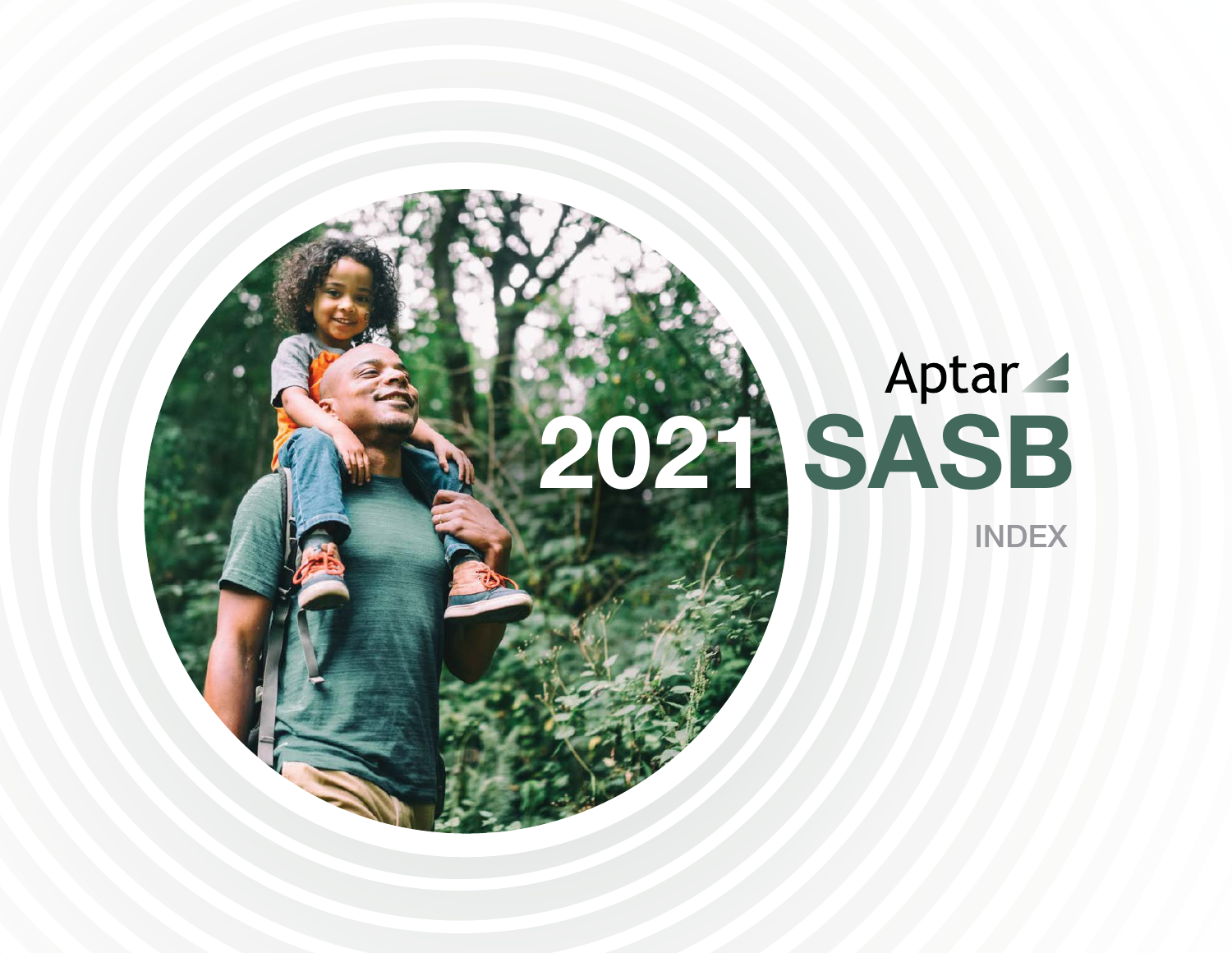

# INDEX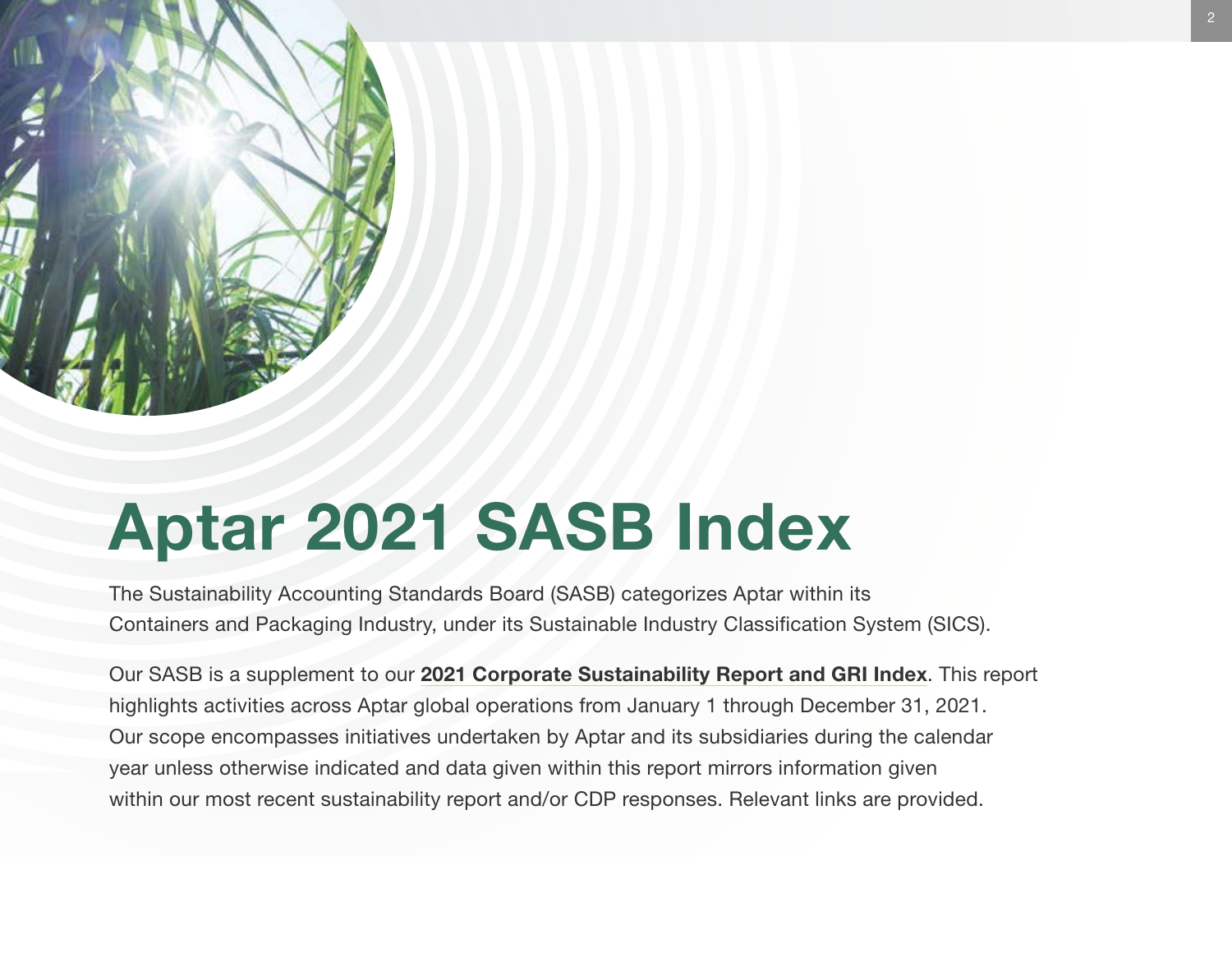

# Aptar 2021 SASB Index

The Sustainability Accounting Standards Board (SASB) categorizes Aptar within its Containers and Packaging Industry, under its Sustainable Industry Classification System (SICS).

Our SASB is a supplement to our [2021 Corporate Sustainability Report and GRI Index](http://aptar.com/esg/reporting-center/sustainability-reports/). This report highlights activities across Aptar global operations from January 1 through December 31, 2021. Our scope encompasses initiatives undertaken by Aptar and its subsidiaries during the calendar year unless otherwise indicated and data given within this report mirrors information given within our most recent sustainability report and/or CDP responses. Relevant links are provided.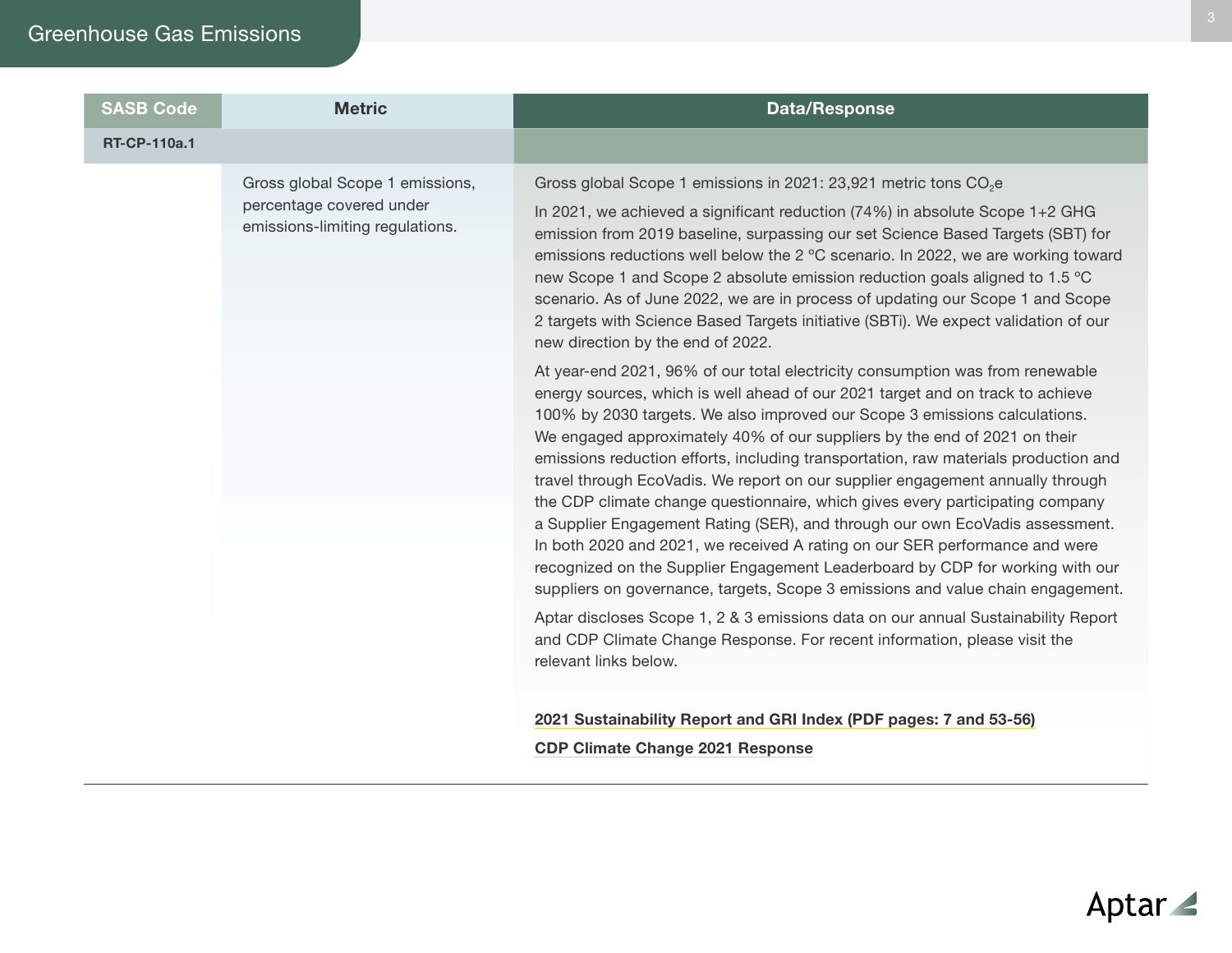### Greenhouse Gas Emissions

| <b>SASB Code</b>    | <b>Metric</b>                                                                                  | <b>Data/Response</b>                                                                                                                                                                                                                                                                                                                                                                                                                                                                                                                                                                                                                                                                                                                                                                                                                                                                                                    |
|---------------------|------------------------------------------------------------------------------------------------|-------------------------------------------------------------------------------------------------------------------------------------------------------------------------------------------------------------------------------------------------------------------------------------------------------------------------------------------------------------------------------------------------------------------------------------------------------------------------------------------------------------------------------------------------------------------------------------------------------------------------------------------------------------------------------------------------------------------------------------------------------------------------------------------------------------------------------------------------------------------------------------------------------------------------|
| <b>RT-CP-110a.1</b> |                                                                                                |                                                                                                                                                                                                                                                                                                                                                                                                                                                                                                                                                                                                                                                                                                                                                                                                                                                                                                                         |
|                     | Gross global Scope 1 emissions,<br>percentage covered under<br>emissions-limiting regulations. | Gross global Scope 1 emissions in 2021: 23,921 metric tons CO <sub>2</sub> e<br>In 2021, we achieved a significant reduction (74%) in absolute Scope 1+2 GHG<br>emission from 2019 baseline, surpassing our set Science Based Targets (SBT) for<br>emissions reductions well below the 2 °C scenario. In 2022, we are working toward<br>new Scope 1 and Scope 2 absolute emission reduction goals aligned to 1.5 °C<br>scenario. As of June 2022, we are in process of updating our Scope 1 and Scope<br>2 targets with Science Based Targets initiative (SBTi). We expect validation of our<br>new direction by the end of 2022.                                                                                                                                                                                                                                                                                       |
|                     |                                                                                                | At year-end 2021, 96% of our total electricity consumption was from renewable<br>energy sources, which is well ahead of our 2021 target and on track to achieve<br>100% by 2030 targets. We also improved our Scope 3 emissions calculations.<br>We engaged approximately 40% of our suppliers by the end of 2021 on their<br>emissions reduction efforts, including transportation, raw materials production and<br>travel through EcoVadis. We report on our supplier engagement annually through<br>the CDP climate change questionnaire, which gives every participating company<br>a Supplier Engagement Rating (SER), and through our own EcoVadis assessment.<br>In both 2020 and 2021, we received A rating on our SER performance and were<br>recognized on the Supplier Engagement Leaderboard by CDP for working with our<br>suppliers on governance, targets, Scope 3 emissions and value chain engagement. |
|                     |                                                                                                | Aptar discloses Scope 1, 2 & 3 emissions data on our annual Sustainability Report<br>and CDP Climate Change Response. For recent information, please visit the<br>relevant links below.                                                                                                                                                                                                                                                                                                                                                                                                                                                                                                                                                                                                                                                                                                                                 |
|                     |                                                                                                | 2021 Sustainability Report and GRI Index (PDF pages: 7 and 53-56)                                                                                                                                                                                                                                                                                                                                                                                                                                                                                                                                                                                                                                                                                                                                                                                                                                                       |
|                     |                                                                                                | <b>CDP Climate Change 2021 Response</b>                                                                                                                                                                                                                                                                                                                                                                                                                                                                                                                                                                                                                                                                                                                                                                                                                                                                                 |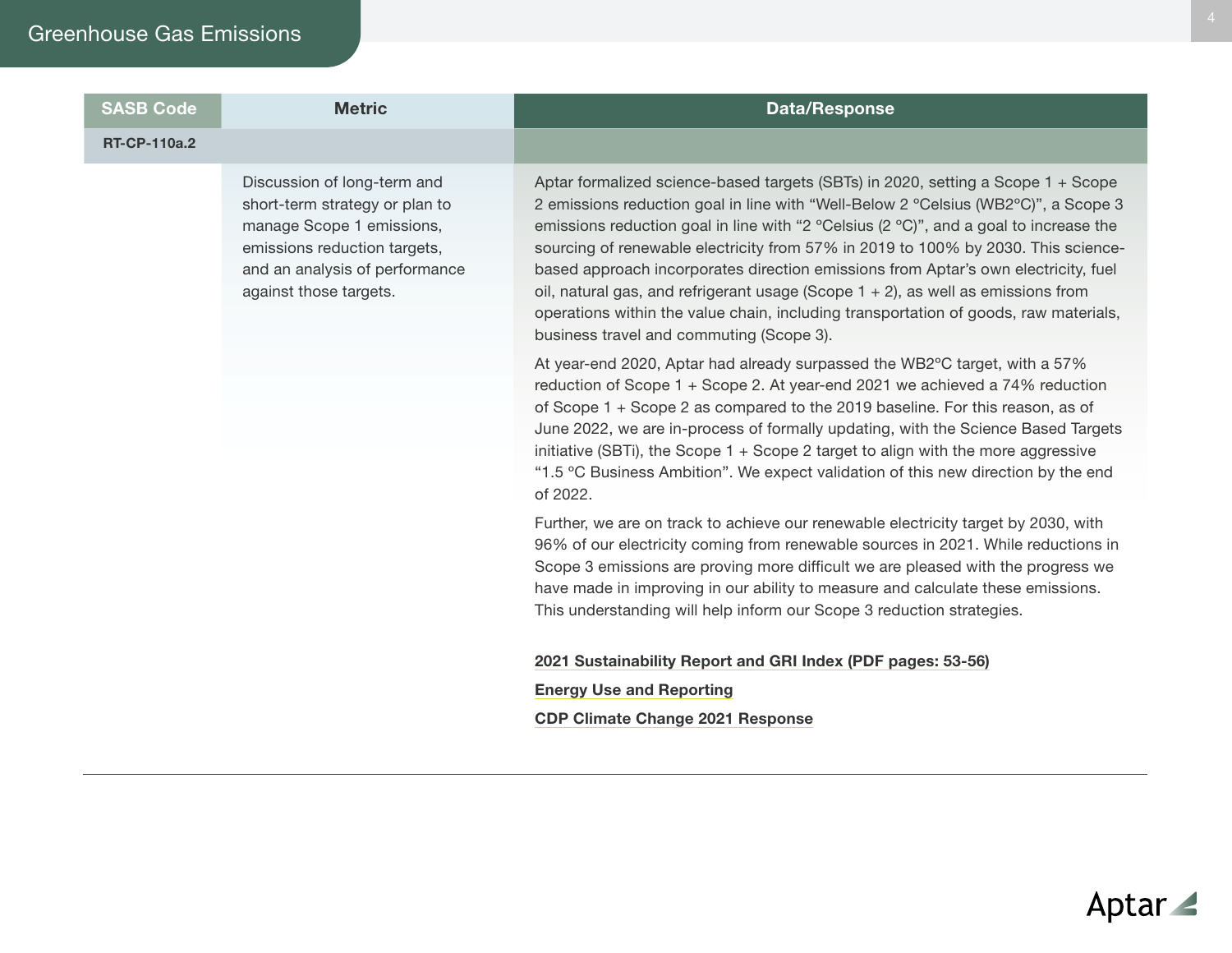#### SASB Code **Metric** Metric **Data/Response**

#### RT-CP-110a.2

Discussion of long-term and short-term strategy or plan to manage Scope 1 emissions, emissions reduction targets, and an analysis of performance against those targets.

Aptar formalized science-based targets (SBTs) in 2020, setting a Scope 1 + Scope 2 emissions reduction goal in line with "Well-Below 2 ºCelsius (WB2ºC)", a Scope 3 emissions reduction goal in line with "2 ºCelsius (2 ºC)", and a goal to increase the sourcing of renewable electricity from 57% in 2019 to 100% by 2030. This sciencebased approach incorporates direction emissions from Aptar's own electricity, fuel oil, natural gas, and refrigerant usage (Scope 1 + 2), as well as emissions from operations within the value chain, including transportation of goods, raw materials, business travel and commuting (Scope 3).

At year-end 2020, Aptar had already surpassed the WB2ºC target, with a 57% reduction of Scope 1 + Scope 2. At year-end 2021 we achieved a 74% reduction of Scope 1 + Scope 2 as compared to the 2019 baseline. For this reason, as of June 2022, we are in-process of formally updating, with the Science Based Targets initiative (SBTi), the Scope 1 + Scope 2 target to align with the more aggressive "1.5 ºC Business Ambition". We expect validation of this new direction by the end of 2022.

Further, we are on track to achieve our renewable electricity target by 2030, with 96% of our electricity coming from renewable sources in 2021. While reductions in Scope 3 emissions are proving more difficult we are pleased with the progress we have made in improving in our ability to measure and calculate these emissions. This understanding will help inform our Scope 3 reduction strategies.

#### [2021 Sustainability Report and GRI Index \(PDF pages: 53-56\)](http://aptar.com/esg/reporting-center/sustainability-reports/)

[Energy Use and Reporting](https://www.aptar.com/esg/focus-areas/eco-efficient-operations/)

[CDP Climate Change 2021 Response](http://aptar.com/esg/reporting-center/cdp/)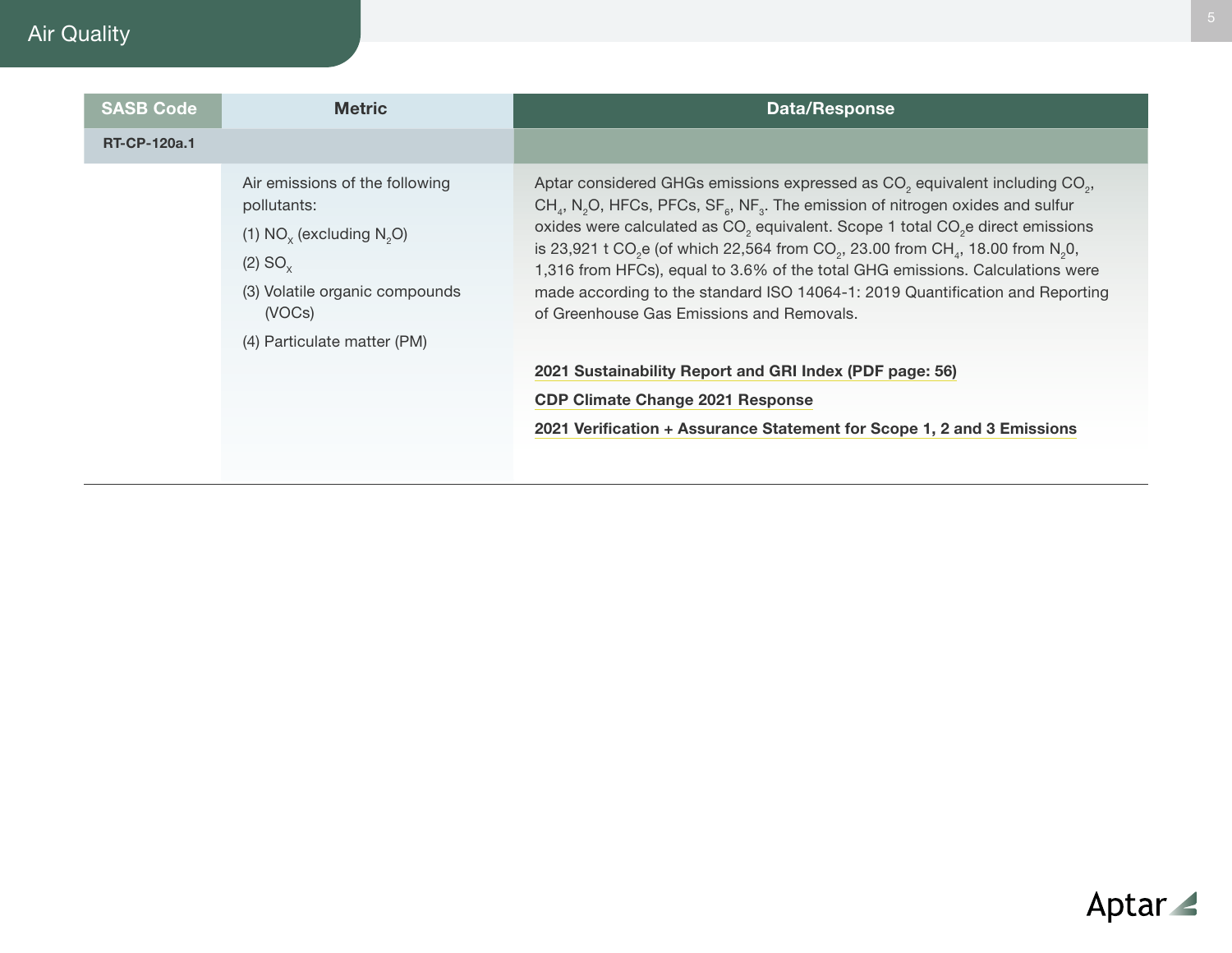# Air Quality

| <b>SASB Code</b>    | <b>Metric</b>                                                                                                                                                                     | <b>Data/Response</b>                                                                                                                                                                                                                                                                                                                                                                                                                                                                                                                                                                                                                                                                   |
|---------------------|-----------------------------------------------------------------------------------------------------------------------------------------------------------------------------------|----------------------------------------------------------------------------------------------------------------------------------------------------------------------------------------------------------------------------------------------------------------------------------------------------------------------------------------------------------------------------------------------------------------------------------------------------------------------------------------------------------------------------------------------------------------------------------------------------------------------------------------------------------------------------------------|
| <b>RT-CP-120a.1</b> |                                                                                                                                                                                   |                                                                                                                                                                                                                                                                                                                                                                                                                                                                                                                                                                                                                                                                                        |
|                     | Air emissions of the following<br>pollutants:<br>(1) $NO_x$ (excluding $N_yO$ )<br>(2) SO <sub>x</sub><br>(3) Volatile organic compounds<br>(VOCs)<br>(4) Particulate matter (PM) | Aptar considered GHGs emissions expressed as CO <sub>2</sub> equivalent including CO <sub>2</sub> ,<br>$CHa$ , N <sub>2</sub> O, HFCs, PFCs, SF <sub>6</sub> , NF <sub>3</sub> . The emission of nitrogen oxides and sulfur<br>oxides were calculated as CO <sub>2</sub> equivalent. Scope 1 total CO <sub>2</sub> edirect emissions<br>is 23,921 t CO <sub>2</sub> e (of which 22,564 from CO <sub>2</sub> , 23.00 from CH <sub>2</sub> , 18.00 from N <sub>2</sub> 0,<br>1,316 from HFCs), equal to 3.6% of the total GHG emissions. Calculations were<br>made according to the standard ISO 14064-1: 2019 Quantification and Reporting<br>of Greenhouse Gas Emissions and Removals. |
|                     |                                                                                                                                                                                   | 2021 Sustainability Report and GRI Index (PDF page: 56)                                                                                                                                                                                                                                                                                                                                                                                                                                                                                                                                                                                                                                |
|                     |                                                                                                                                                                                   | <b>CDP Climate Change 2021 Response</b><br>2021 Verification + Assurance Statement for Scope 1, 2 and 3 Emissions                                                                                                                                                                                                                                                                                                                                                                                                                                                                                                                                                                      |
|                     |                                                                                                                                                                                   |                                                                                                                                                                                                                                                                                                                                                                                                                                                                                                                                                                                                                                                                                        |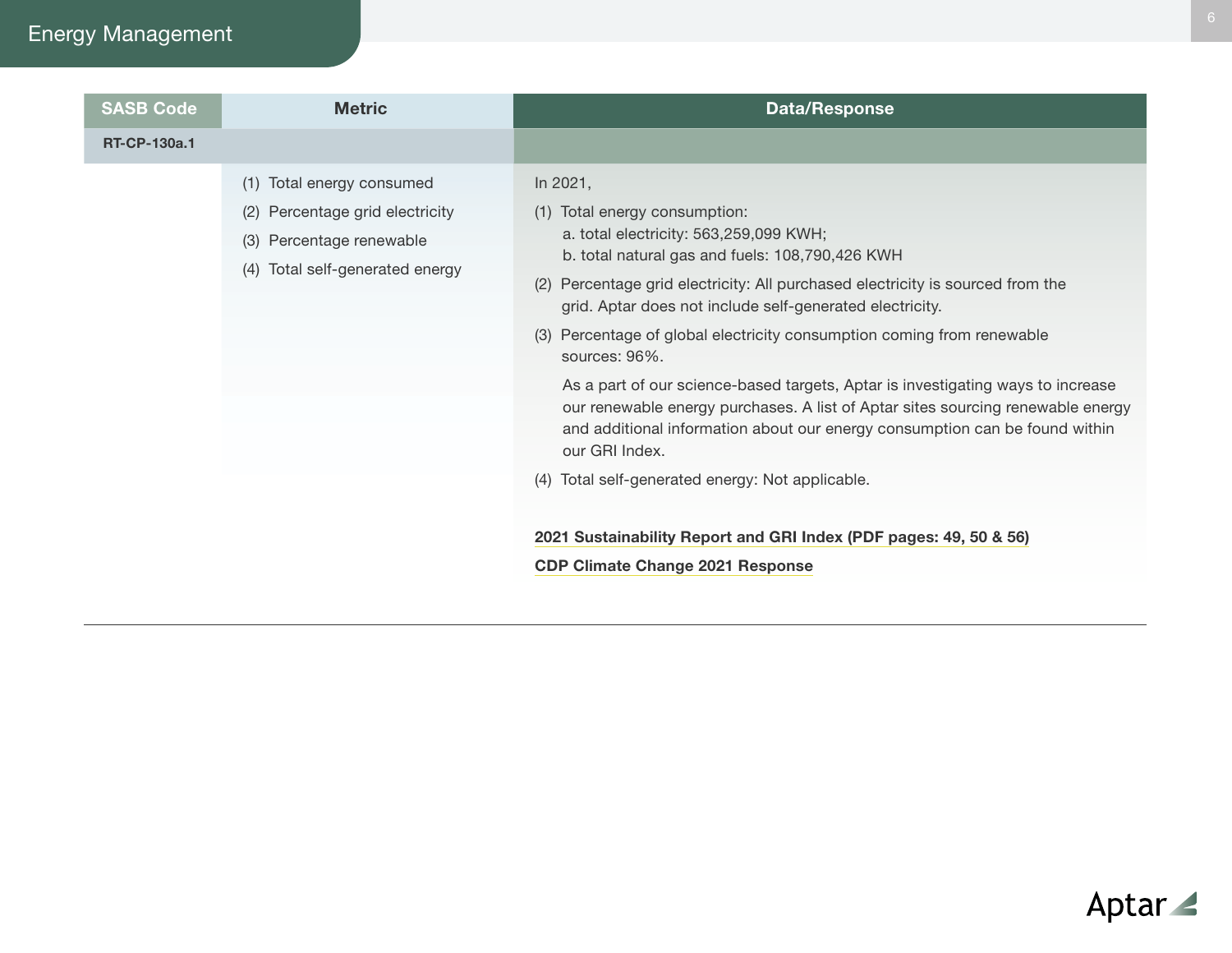# Energy Management

| <b>SASB Code</b>    | <b>Metric</b>                                                                                                                     | <b>Data/Response</b>                                                                                                                                                                                                                                                                                                                                                                                                                                                                                                                                                                                                                                                                                          |
|---------------------|-----------------------------------------------------------------------------------------------------------------------------------|---------------------------------------------------------------------------------------------------------------------------------------------------------------------------------------------------------------------------------------------------------------------------------------------------------------------------------------------------------------------------------------------------------------------------------------------------------------------------------------------------------------------------------------------------------------------------------------------------------------------------------------------------------------------------------------------------------------|
| <b>RT-CP-130a.1</b> |                                                                                                                                   |                                                                                                                                                                                                                                                                                                                                                                                                                                                                                                                                                                                                                                                                                                               |
|                     | Total energy consumed<br>(1)<br>(2) Percentage grid electricity<br>Percentage renewable<br>(3)<br>(4) Total self-generated energy | In 2021,<br>(1) Total energy consumption:<br>a. total electricity: 563,259,099 KWH;<br>b. total natural gas and fuels: 108,790,426 KWH<br>(2) Percentage grid electricity: All purchased electricity is sourced from the<br>grid. Aptar does not include self-generated electricity.<br>(3) Percentage of global electricity consumption coming from renewable<br>sources: 96%.<br>As a part of our science-based targets, Aptar is investigating ways to increase<br>our renewable energy purchases. A list of Aptar sites sourcing renewable energy<br>and additional information about our energy consumption can be found within<br>our GRI Index.<br>Total self-generated energy: Not applicable.<br>(4) |
|                     |                                                                                                                                   | 2021 Sustainability Report and GRI Index (PDF pages: 49, 50 & 56)                                                                                                                                                                                                                                                                                                                                                                                                                                                                                                                                                                                                                                             |
|                     |                                                                                                                                   | <b>CDP Climate Change 2021 Response</b>                                                                                                                                                                                                                                                                                                                                                                                                                                                                                                                                                                                                                                                                       |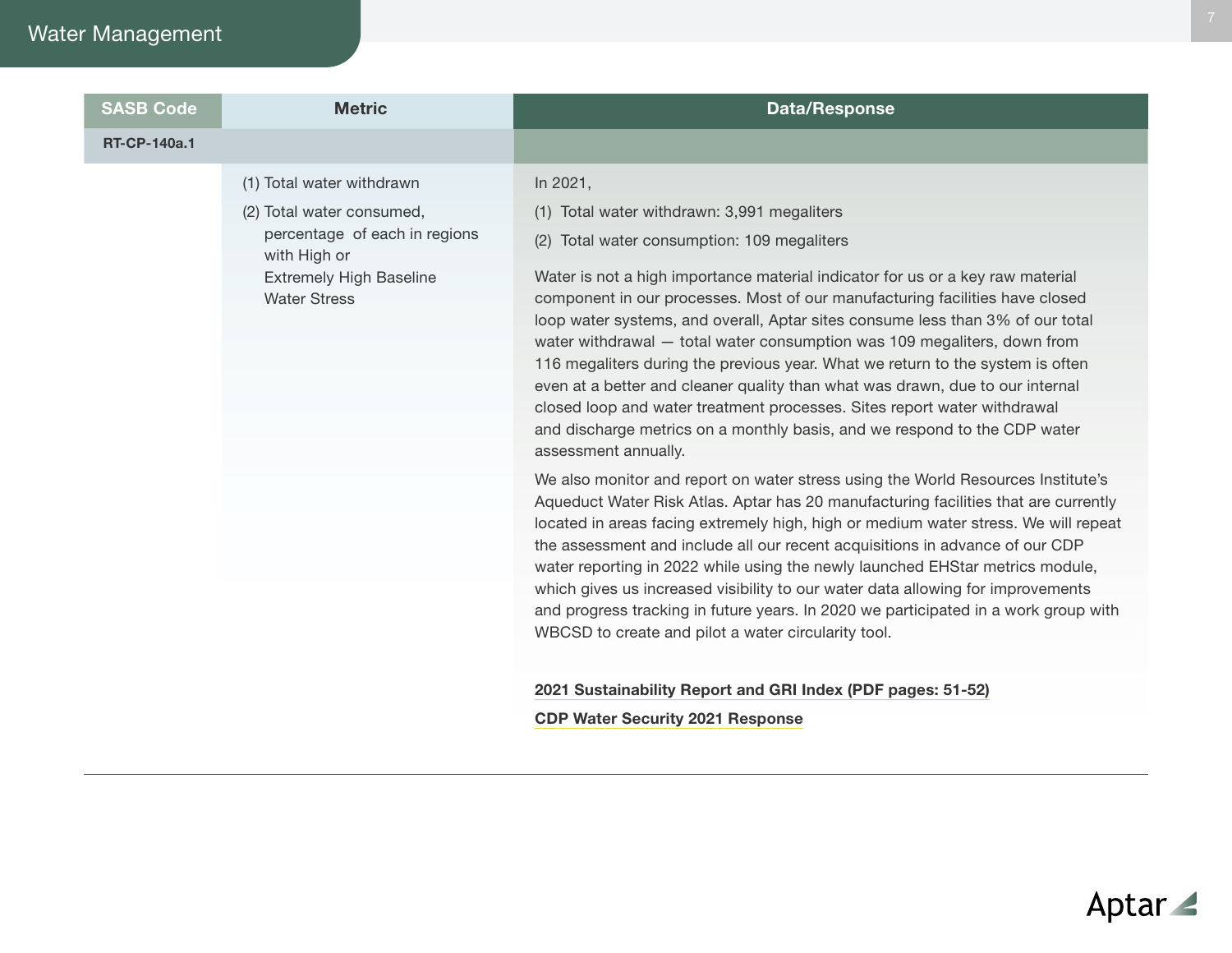# Water Management

| <b>SASB Code</b>    | <b>Metric</b>                                         | <b>Data/Response</b>                                                                                                                                                                                                                                                                                                                                                                                                                                                                                                                                                                                                                                                             |
|---------------------|-------------------------------------------------------|----------------------------------------------------------------------------------------------------------------------------------------------------------------------------------------------------------------------------------------------------------------------------------------------------------------------------------------------------------------------------------------------------------------------------------------------------------------------------------------------------------------------------------------------------------------------------------------------------------------------------------------------------------------------------------|
| <b>RT-CP-140a.1</b> |                                                       |                                                                                                                                                                                                                                                                                                                                                                                                                                                                                                                                                                                                                                                                                  |
|                     | (1) Total water withdrawn                             | In 2021,                                                                                                                                                                                                                                                                                                                                                                                                                                                                                                                                                                                                                                                                         |
|                     | (2) Total water consumed,                             | (1) Total water withdrawn: 3,991 megaliters                                                                                                                                                                                                                                                                                                                                                                                                                                                                                                                                                                                                                                      |
|                     | percentage of each in regions<br>with High or         | (2) Total water consumption: 109 megaliters                                                                                                                                                                                                                                                                                                                                                                                                                                                                                                                                                                                                                                      |
|                     | <b>Extremely High Baseline</b><br><b>Water Stress</b> | Water is not a high importance material indicator for us or a key raw material<br>component in our processes. Most of our manufacturing facilities have closed<br>loop water systems, and overall, Aptar sites consume less than 3% of our total<br>water withdrawal - total water consumption was 109 megaliters, down from<br>116 megaliters during the previous year. What we return to the system is often<br>even at a better and cleaner quality than what was drawn, due to our internal<br>closed loop and water treatment processes. Sites report water withdrawal<br>and discharge metrics on a monthly basis, and we respond to the CDP water<br>assessment annually. |
|                     |                                                       | We also monitor and report on water stress using the World Resources Institute's<br>Aqueduct Water Risk Atlas. Aptar has 20 manufacturing facilities that are currently<br>located in areas facing extremely high, high or medium water stress. We will repeat<br>the assessment and include all our recent acquisitions in advance of our CDP<br>water reporting in 2022 while using the newly launched EHStar metrics module,<br>which gives us increased visibility to our water data allowing for improvements                                                                                                                                                               |
|                     |                                                       | and progress tracking in future years. In 2020 we participated in a work group with<br>WBCSD to create and pilot a water circularity tool.                                                                                                                                                                                                                                                                                                                                                                                                                                                                                                                                       |

#### [2021 Sustainability Report and GRI Index \(PDF pages: 51-52\)](http://aptar.com/esg/reporting-center/sustainability-reports/)

#### [CDP Water Security 2021 Response](http://aptar.com/esg/reporting-center/cdp/)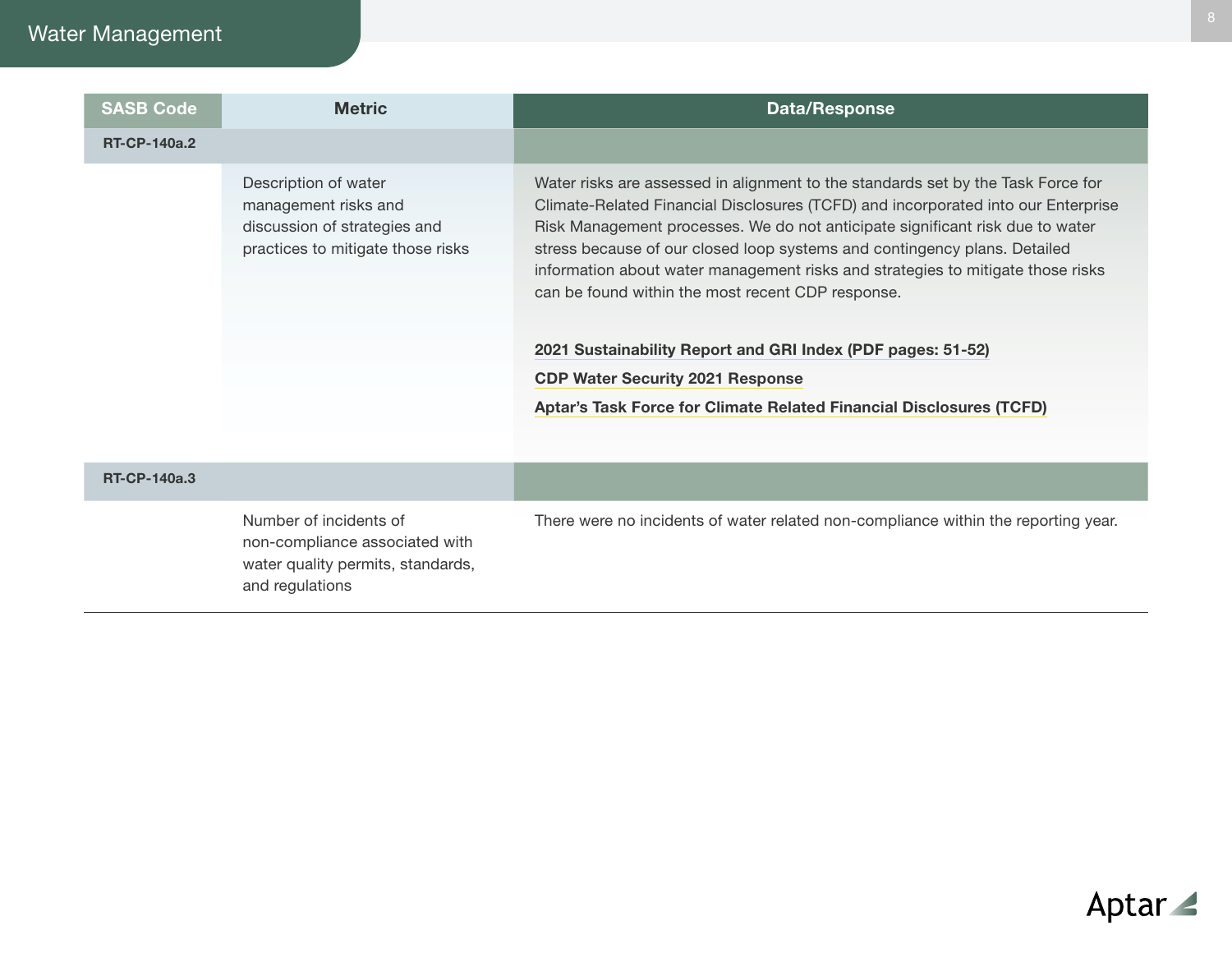# Water Management

| <b>SASB Code</b>    | <b>Metric</b>                                                                                                     | Data/Response                                                                                                                                                                                                                                                                                                                                                                                                                                                               |
|---------------------|-------------------------------------------------------------------------------------------------------------------|-----------------------------------------------------------------------------------------------------------------------------------------------------------------------------------------------------------------------------------------------------------------------------------------------------------------------------------------------------------------------------------------------------------------------------------------------------------------------------|
| <b>RT-CP-140a.2</b> |                                                                                                                   |                                                                                                                                                                                                                                                                                                                                                                                                                                                                             |
|                     | Description of water<br>management risks and<br>discussion of strategies and<br>practices to mitigate those risks | Water risks are assessed in alignment to the standards set by the Task Force for<br>Climate-Related Financial Disclosures (TCFD) and incorporated into our Enterprise<br>Risk Management processes. We do not anticipate significant risk due to water<br>stress because of our closed loop systems and contingency plans. Detailed<br>information about water management risks and strategies to mitigate those risks<br>can be found within the most recent CDP response. |
|                     |                                                                                                                   | 2021 Sustainability Report and GRI Index (PDF pages: 51-52)<br><b>CDP Water Security 2021 Response</b>                                                                                                                                                                                                                                                                                                                                                                      |
|                     |                                                                                                                   | Aptar's Task Force for Climate Related Financial Disclosures (TCFD)                                                                                                                                                                                                                                                                                                                                                                                                         |

#### RT-CP-140a.3

Number of incidents of non-compliance associated with water quality permits, standards, and regulations

There were no incidents of water related non-compliance within the reporting year.

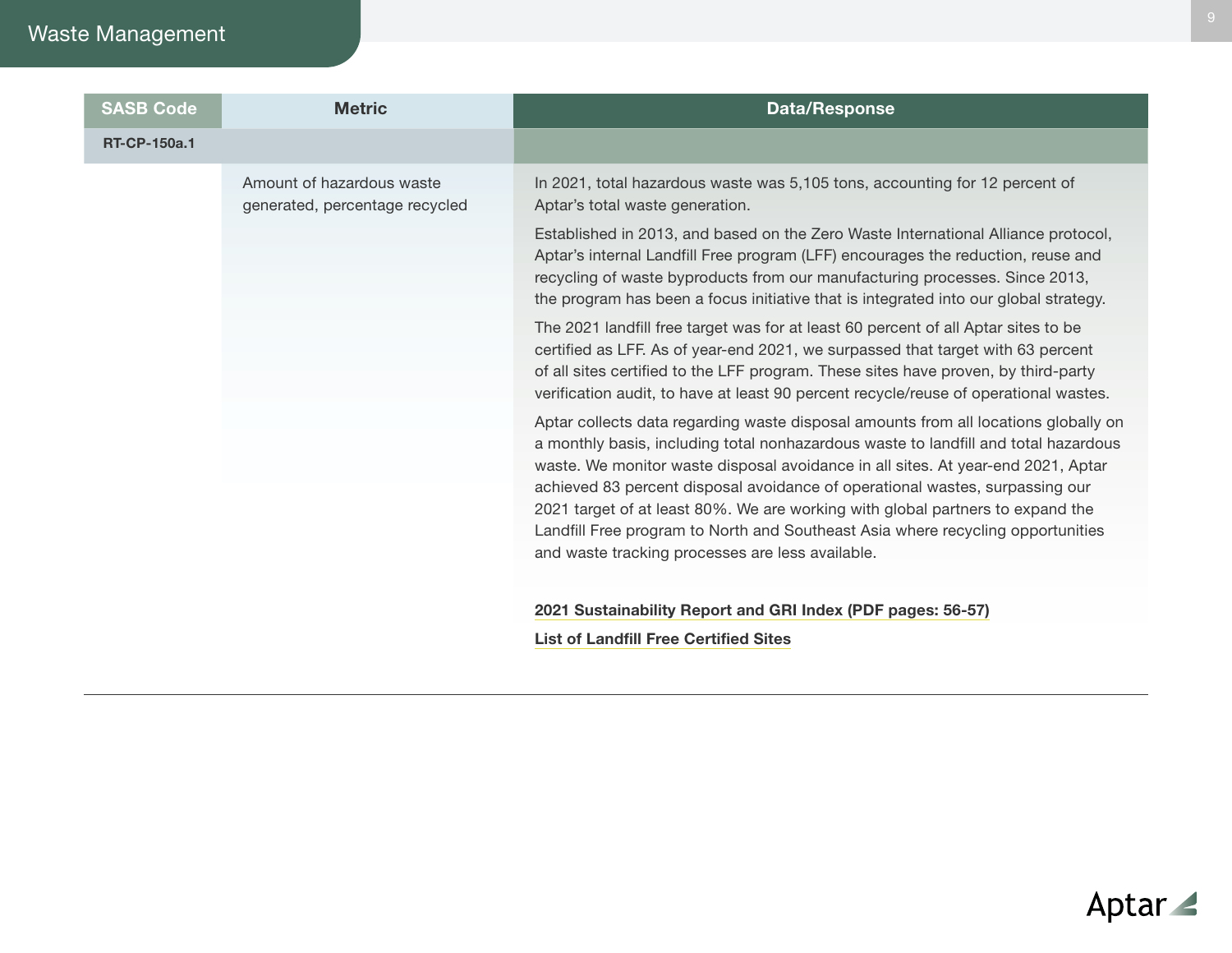# Waste Management

| <b>SASB Code</b>    | <b>Metric</b>                                               | <b>Data/Response</b>                                                                                                                                                                                                                                                                                                                                |
|---------------------|-------------------------------------------------------------|-----------------------------------------------------------------------------------------------------------------------------------------------------------------------------------------------------------------------------------------------------------------------------------------------------------------------------------------------------|
| <b>RT-CP-150a.1</b> |                                                             |                                                                                                                                                                                                                                                                                                                                                     |
|                     | Amount of hazardous waste<br>generated, percentage recycled | In 2021, total hazardous waste was 5,105 tons, accounting for 12 percent of<br>Aptar's total waste generation.                                                                                                                                                                                                                                      |
|                     |                                                             | Established in 2013, and based on the Zero Waste International Alliance protocol,<br>Aptar's internal Landfill Free program (LFF) encourages the reduction, reuse and<br>recycling of waste byproducts from our manufacturing processes. Since 2013,<br>the program has been a focus initiative that is integrated into our global strategy.        |
|                     |                                                             | The 2021 landfill free target was for at least 60 percent of all Aptar sites to be<br>certified as LFF. As of year-end 2021, we surpassed that target with 63 percent<br>of all sites certified to the LFF program. These sites have proven, by third-party<br>verification audit, to have at least 90 percent recycle/reuse of operational wastes. |
|                     |                                                             | Aptar collects data regarding waste disposal amounts from all locations globally on<br>a monthly basis, including total nonhazardous waste to landfill and total hazardous<br>waste. We monitor waste disposal avoidance in all sites. At year-end 2021, Aptar<br>achieved 83 percent disposal avoidance of operational wastes, surpassing our      |
|                     |                                                             | 2021 target of at least 80%. We are working with global partners to expand the<br>Landfill Free program to North and Southeast Asia where recycling opportunities<br>and waste tracking processes are less available.                                                                                                                               |
|                     |                                                             | 2021 Sustainability Report and GRI Index (PDF pages: 56-57)                                                                                                                                                                                                                                                                                         |
|                     |                                                             | <b>List of Landfill Free Certified Sites</b>                                                                                                                                                                                                                                                                                                        |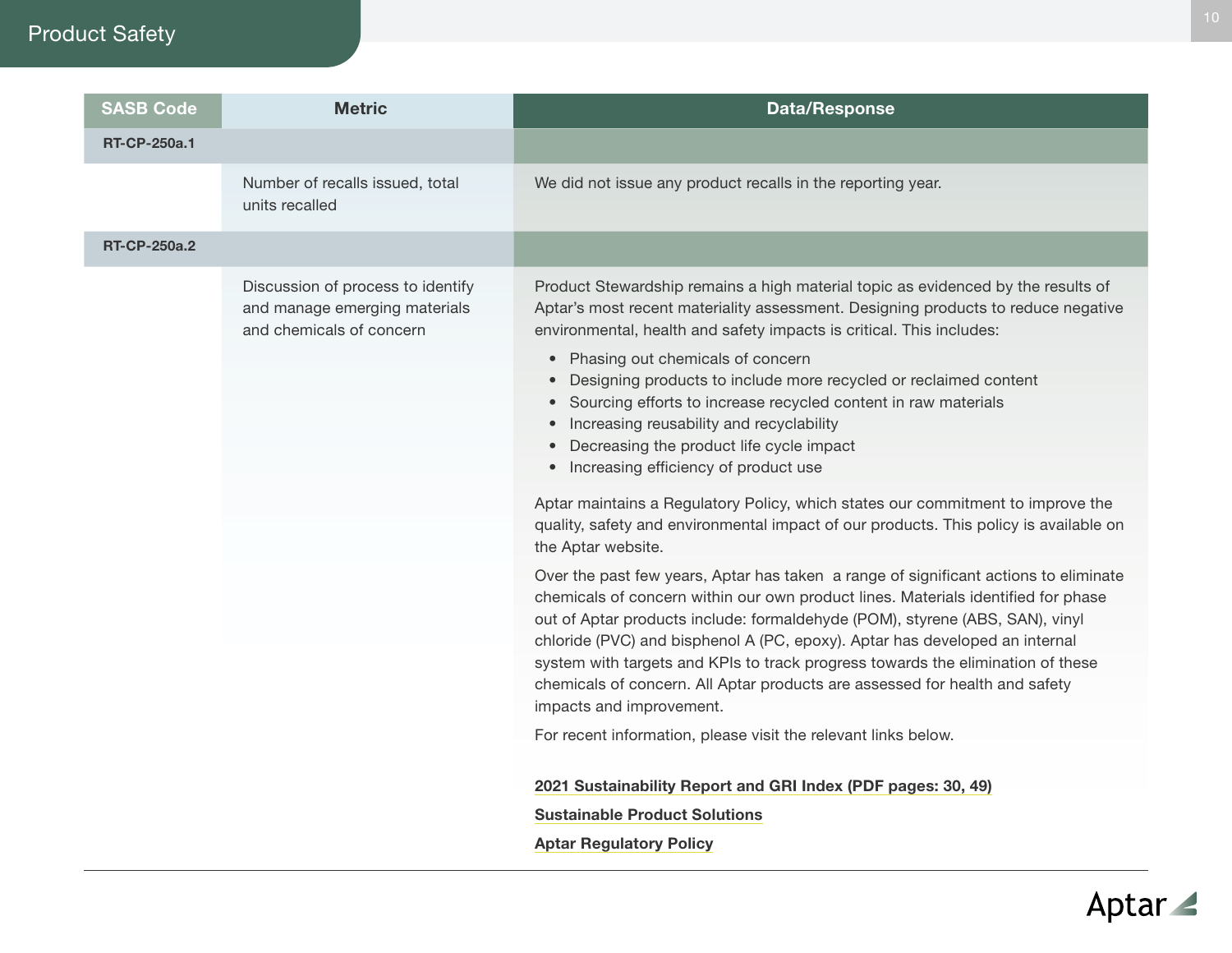# Product Safety

| <b>SASB Code</b>    | <b>Metric</b>                                                                                  | <b>Data/Response</b>                                                                                                                                                                                                                                                                                                                                                                                                                                                                                                                                                                                                                                                                                                                                                                                                                                                                                                                                                                                                                                                                                                                                                                                                                                                                                                                                                                                                                                                                                          |
|---------------------|------------------------------------------------------------------------------------------------|---------------------------------------------------------------------------------------------------------------------------------------------------------------------------------------------------------------------------------------------------------------------------------------------------------------------------------------------------------------------------------------------------------------------------------------------------------------------------------------------------------------------------------------------------------------------------------------------------------------------------------------------------------------------------------------------------------------------------------------------------------------------------------------------------------------------------------------------------------------------------------------------------------------------------------------------------------------------------------------------------------------------------------------------------------------------------------------------------------------------------------------------------------------------------------------------------------------------------------------------------------------------------------------------------------------------------------------------------------------------------------------------------------------------------------------------------------------------------------------------------------------|
| <b>RT-CP-250a.1</b> |                                                                                                |                                                                                                                                                                                                                                                                                                                                                                                                                                                                                                                                                                                                                                                                                                                                                                                                                                                                                                                                                                                                                                                                                                                                                                                                                                                                                                                                                                                                                                                                                                               |
|                     | Number of recalls issued, total<br>units recalled                                              | We did not issue any product recalls in the reporting year.                                                                                                                                                                                                                                                                                                                                                                                                                                                                                                                                                                                                                                                                                                                                                                                                                                                                                                                                                                                                                                                                                                                                                                                                                                                                                                                                                                                                                                                   |
| <b>RT-CP-250a.2</b> |                                                                                                |                                                                                                                                                                                                                                                                                                                                                                                                                                                                                                                                                                                                                                                                                                                                                                                                                                                                                                                                                                                                                                                                                                                                                                                                                                                                                                                                                                                                                                                                                                               |
|                     | Discussion of process to identify<br>and manage emerging materials<br>and chemicals of concern | Product Stewardship remains a high material topic as evidenced by the results of<br>Aptar's most recent materiality assessment. Designing products to reduce negative<br>environmental, health and safety impacts is critical. This includes:<br>• Phasing out chemicals of concern<br>Designing products to include more recycled or reclaimed content<br>• Sourcing efforts to increase recycled content in raw materials<br>Increasing reusability and recyclability<br>$\bullet$<br>Decreasing the product life cycle impact<br>$\bullet$<br>• Increasing efficiency of product use<br>Aptar maintains a Regulatory Policy, which states our commitment to improve the<br>quality, safety and environmental impact of our products. This policy is available on<br>the Aptar website.<br>Over the past few years, Aptar has taken a range of significant actions to eliminate<br>chemicals of concern within our own product lines. Materials identified for phase<br>out of Aptar products include: formaldehyde (POM), styrene (ABS, SAN), vinyl<br>chloride (PVC) and bisphenol A (PC, epoxy). Aptar has developed an internal<br>system with targets and KPIs to track progress towards the elimination of these<br>chemicals of concern. All Aptar products are assessed for health and safety<br>impacts and improvement.<br>For recent information, please visit the relevant links below.<br>2021 Sustainability Report and GRI Index (PDF pages: 30, 49)<br><b>Sustainable Product Solutions</b> |
|                     |                                                                                                | <b>Aptar Regulatory Policy</b>                                                                                                                                                                                                                                                                                                                                                                                                                                                                                                                                                                                                                                                                                                                                                                                                                                                                                                                                                                                                                                                                                                                                                                                                                                                                                                                                                                                                                                                                                |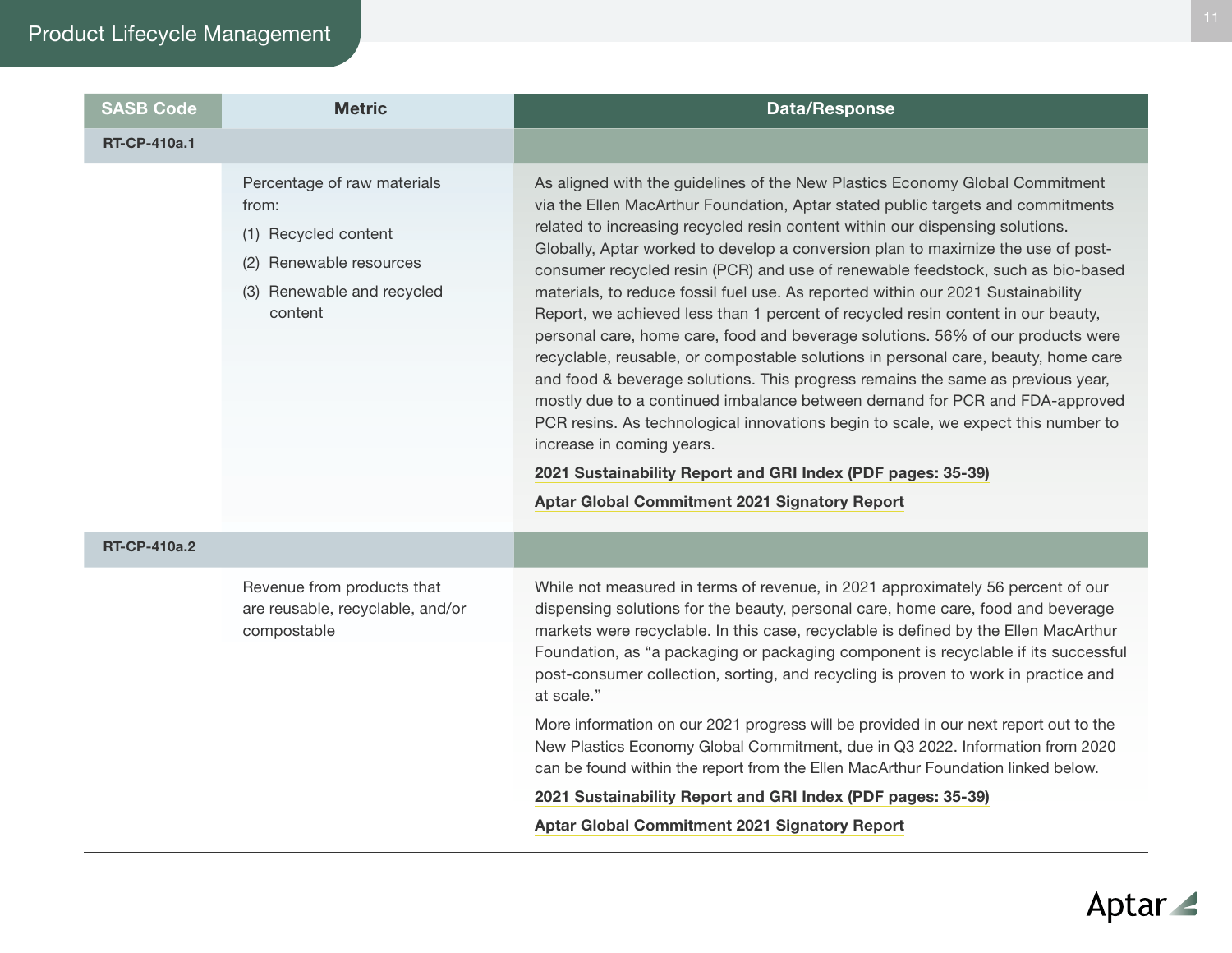| <b>SASB Code</b>    | <b>Metric</b>                                                                                                                       | <b>Data/Response</b>                                                                                                                                                                                                                                                                                                                                                                                                                                                                                                                                                                                                                                                                                                                                                                                                                                                                                                                                                                                                                                                                                                                                                         |
|---------------------|-------------------------------------------------------------------------------------------------------------------------------------|------------------------------------------------------------------------------------------------------------------------------------------------------------------------------------------------------------------------------------------------------------------------------------------------------------------------------------------------------------------------------------------------------------------------------------------------------------------------------------------------------------------------------------------------------------------------------------------------------------------------------------------------------------------------------------------------------------------------------------------------------------------------------------------------------------------------------------------------------------------------------------------------------------------------------------------------------------------------------------------------------------------------------------------------------------------------------------------------------------------------------------------------------------------------------|
| <b>RT-CP-410a.1</b> |                                                                                                                                     |                                                                                                                                                                                                                                                                                                                                                                                                                                                                                                                                                                                                                                                                                                                                                                                                                                                                                                                                                                                                                                                                                                                                                                              |
| <b>RT-CP-410a.2</b> | Percentage of raw materials<br>from:<br>(1) Recycled content<br>Renewable resources<br>(2)<br>(3) Renewable and recycled<br>content | As aligned with the guidelines of the New Plastics Economy Global Commitment<br>via the Ellen MacArthur Foundation, Aptar stated public targets and commitments<br>related to increasing recycled resin content within our dispensing solutions.<br>Globally, Aptar worked to develop a conversion plan to maximize the use of post-<br>consumer recycled resin (PCR) and use of renewable feedstock, such as bio-based<br>materials, to reduce fossil fuel use. As reported within our 2021 Sustainability<br>Report, we achieved less than 1 percent of recycled resin content in our beauty,<br>personal care, home care, food and beverage solutions. 56% of our products were<br>recyclable, reusable, or compostable solutions in personal care, beauty, home care<br>and food & beverage solutions. This progress remains the same as previous year,<br>mostly due to a continued imbalance between demand for PCR and FDA-approved<br>PCR resins. As technological innovations begin to scale, we expect this number to<br>increase in coming years.<br>2021 Sustainability Report and GRI Index (PDF pages: 35-39)<br>Aptar Global Commitment 2021 Signatory Report |
|                     | Revenue from products that<br>are reusable, recyclable, and/or<br>compostable                                                       | While not measured in terms of revenue, in 2021 approximately 56 percent of our<br>dispensing solutions for the beauty, personal care, home care, food and beverage<br>markets were recyclable. In this case, recyclable is defined by the Ellen MacArthur                                                                                                                                                                                                                                                                                                                                                                                                                                                                                                                                                                                                                                                                                                                                                                                                                                                                                                                   |

markets were recyclable. In this case, recyclable is defined by the Ellen MacArthur Foundation, as "a packaging or packaging component is recyclable if its successful post-consumer collection, sorting, and recycling is proven to work in practice and at scale."

More information on our 2021 progress will be provided in our next report out to the New Plastics Economy Global Commitment, due in Q3 2022. Information from 2020 can be found within the report from the Ellen MacArthur Foundation linked below.

[2021 Sustainability Report and GRI Index \(PDF pages: 35-39\)](http://aptar.com/esg/reporting-center/sustainability-reports/)

[Aptar Global Commitment 2021 Signatory Report](https://ellenmacarthurfoundation.org/global-commitment/signatory-reports/ppu/aptargroup-inc)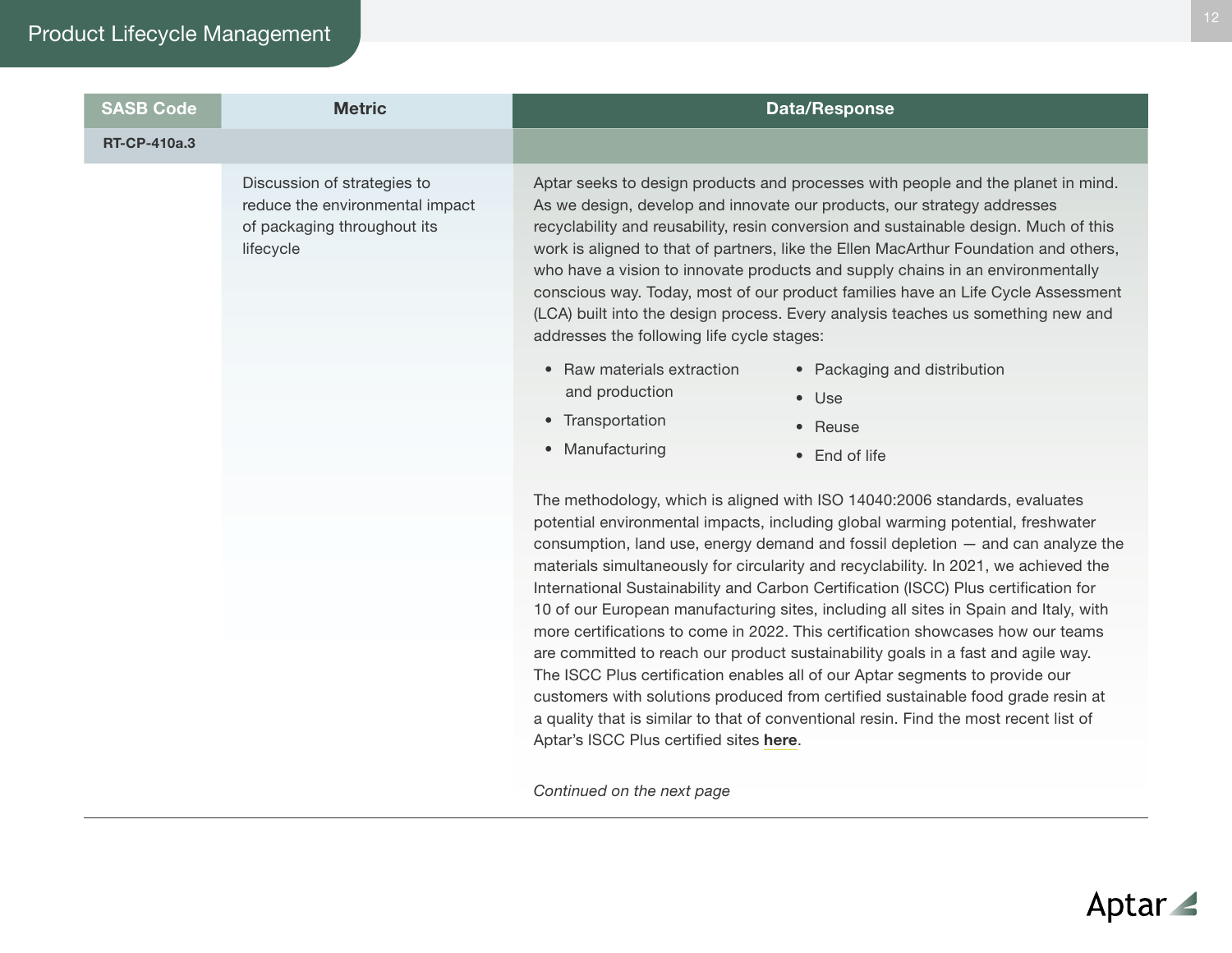# Product Lifecycle Management

| <b>SASB Code</b>    | <b>Metric</b>                                                                                              |                                                                                                           | <b>Data/Response</b>                                                                                                                                                                                                                                                                                                                                                                                                                                                                                                                                                                                                                                                                                                                                                                                                                                                                                                                                          |
|---------------------|------------------------------------------------------------------------------------------------------------|-----------------------------------------------------------------------------------------------------------|---------------------------------------------------------------------------------------------------------------------------------------------------------------------------------------------------------------------------------------------------------------------------------------------------------------------------------------------------------------------------------------------------------------------------------------------------------------------------------------------------------------------------------------------------------------------------------------------------------------------------------------------------------------------------------------------------------------------------------------------------------------------------------------------------------------------------------------------------------------------------------------------------------------------------------------------------------------|
| <b>RT-CP-410a.3</b> |                                                                                                            |                                                                                                           |                                                                                                                                                                                                                                                                                                                                                                                                                                                                                                                                                                                                                                                                                                                                                                                                                                                                                                                                                               |
|                     | Discussion of strategies to<br>reduce the environmental impact<br>of packaging throughout its<br>lifecycle | addresses the following life cycle stages:                                                                | Aptar seeks to design products and processes with people and the planet in mind.<br>As we design, develop and innovate our products, our strategy addresses<br>recyclability and reusability, resin conversion and sustainable design. Much of this<br>work is aligned to that of partners, like the Ellen MacArthur Foundation and others,<br>who have a vision to innovate products and supply chains in an environmentally<br>conscious way. Today, most of our product families have an Life Cycle Assessment<br>(LCA) built into the design process. Every analysis teaches us something new and                                                                                                                                                                                                                                                                                                                                                         |
|                     |                                                                                                            | Raw materials extraction<br>$\bullet$<br>and production<br>• Transportation<br>Manufacturing<br>$\bullet$ | • Packaging and distribution<br>$\bullet$ Use<br>• Reuse<br>• End of life                                                                                                                                                                                                                                                                                                                                                                                                                                                                                                                                                                                                                                                                                                                                                                                                                                                                                     |
|                     |                                                                                                            |                                                                                                           | The methodology, which is aligned with ISO 14040:2006 standards, evaluates<br>potential environmental impacts, including global warming potential, freshwater<br>consumption, land use, energy demand and fossil depletion $-$ and can analyze the<br>materials simultaneously for circularity and recyclability. In 2021, we achieved the<br>International Sustainability and Carbon Certification (ISCC) Plus certification for<br>10 of our European manufacturing sites, including all sites in Spain and Italy, with<br>more certifications to come in 2022. This certification showcases how our teams<br>are committed to reach our product sustainability goals in a fast and agile way.<br>The ISCC Plus certification enables all of our Aptar segments to provide our<br>customers with solutions produced from certified sustainable food grade resin at<br>a quality that is similar to that of conventional resin. Find the most recent list of |

*Continued on the next page*

Aptar's ISCC Plus certified sites [here](https://www.aptar.com/wp-content/uploads/2022/06/2022_0613-Aptar-Register-of-Certificates.pdf).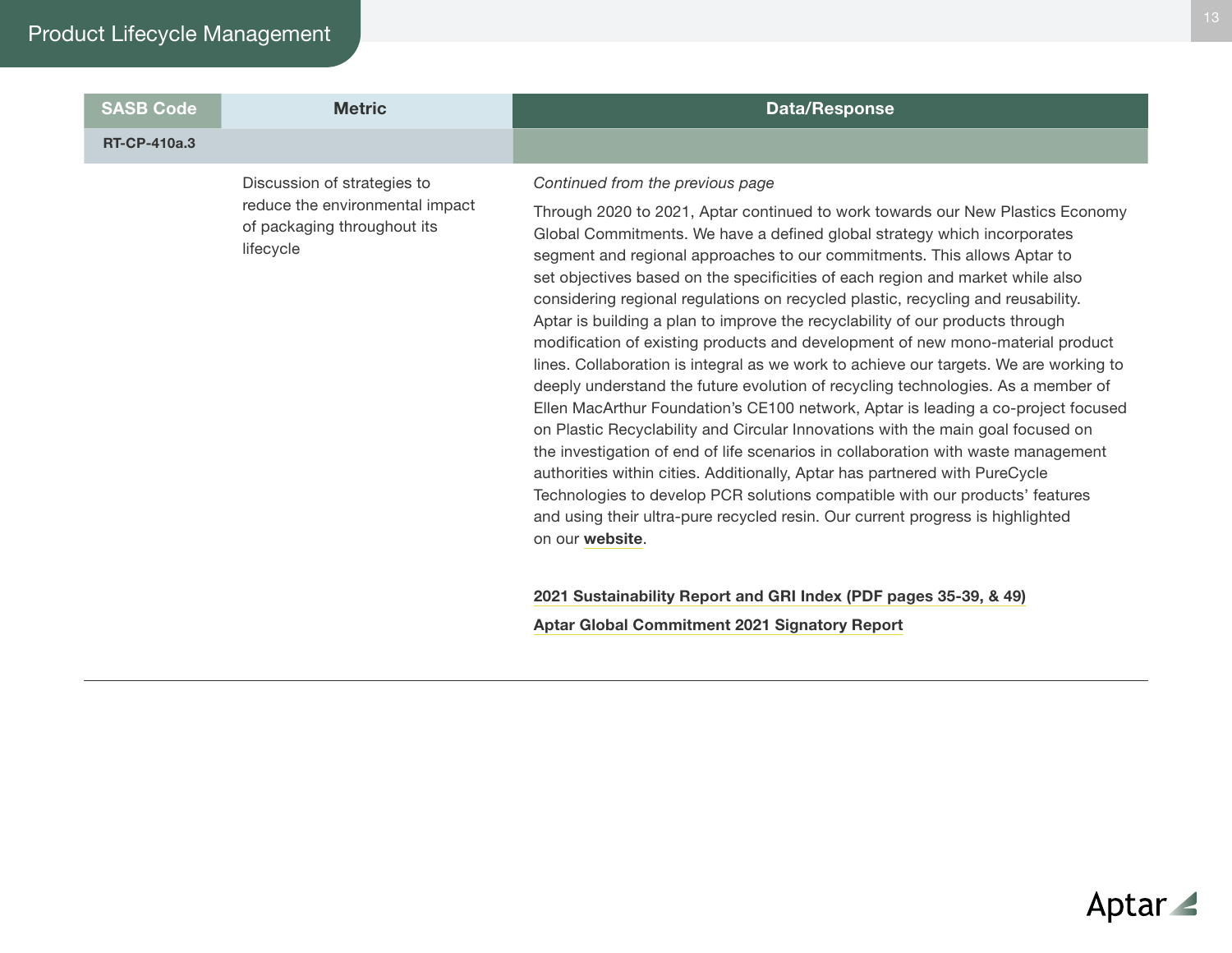| <b>SASB Code</b>    | <b>Metric</b>                                                                                              | <b>Data/Response</b>                                                                                                                                                                                                                                                                                                                                                                                                                                                                                                                                                                                                                                                                                                                                                                                                                                                                                                                                                                                                                                                                                                                                                                                                                                                                                                              |
|---------------------|------------------------------------------------------------------------------------------------------------|-----------------------------------------------------------------------------------------------------------------------------------------------------------------------------------------------------------------------------------------------------------------------------------------------------------------------------------------------------------------------------------------------------------------------------------------------------------------------------------------------------------------------------------------------------------------------------------------------------------------------------------------------------------------------------------------------------------------------------------------------------------------------------------------------------------------------------------------------------------------------------------------------------------------------------------------------------------------------------------------------------------------------------------------------------------------------------------------------------------------------------------------------------------------------------------------------------------------------------------------------------------------------------------------------------------------------------------|
| <b>RT-CP-410a.3</b> |                                                                                                            |                                                                                                                                                                                                                                                                                                                                                                                                                                                                                                                                                                                                                                                                                                                                                                                                                                                                                                                                                                                                                                                                                                                                                                                                                                                                                                                                   |
|                     | Discussion of strategies to<br>reduce the environmental impact<br>of packaging throughout its<br>lifecycle | Continued from the previous page<br>Through 2020 to 2021, Aptar continued to work towards our New Plastics Economy<br>Global Commitments. We have a defined global strategy which incorporates<br>segment and regional approaches to our commitments. This allows Aptar to<br>set objectives based on the specificities of each region and market while also<br>considering regional regulations on recycled plastic, recycling and reusability.<br>Aptar is building a plan to improve the recyclability of our products through<br>modification of existing products and development of new mono-material product<br>lines. Collaboration is integral as we work to achieve our targets. We are working to<br>deeply understand the future evolution of recycling technologies. As a member of<br>Ellen MacArthur Foundation's CE100 network, Aptar is leading a co-project focused<br>on Plastic Recyclability and Circular Innovations with the main goal focused on<br>the investigation of end of life scenarios in collaboration with waste management<br>authorities within cities. Additionally, Aptar has partnered with PureCycle<br>Technologies to develop PCR solutions compatible with our products' features<br>and using their ultra-pure recycled resin. Our current progress is highlighted<br>on our website. |
|                     |                                                                                                            | 0001 Bustainshility Denort and CDI Indox (DDE negge 25, 20, 8, 40)                                                                                                                                                                                                                                                                                                                                                                                                                                                                                                                                                                                                                                                                                                                                                                                                                                                                                                                                                                                                                                                                                                                                                                                                                                                                |

[2021 Sustainability Report and GRI Index \(PDF pages 35-39, & 49\)](http://aptar.com/esg/reporting-center/sustainability-reports/) [Aptar Global Commitment 2021 Signatory Report](https://ellenmacarthurfoundation.org/global-commitment/signatory-reports/ppu/aptargroup-inc)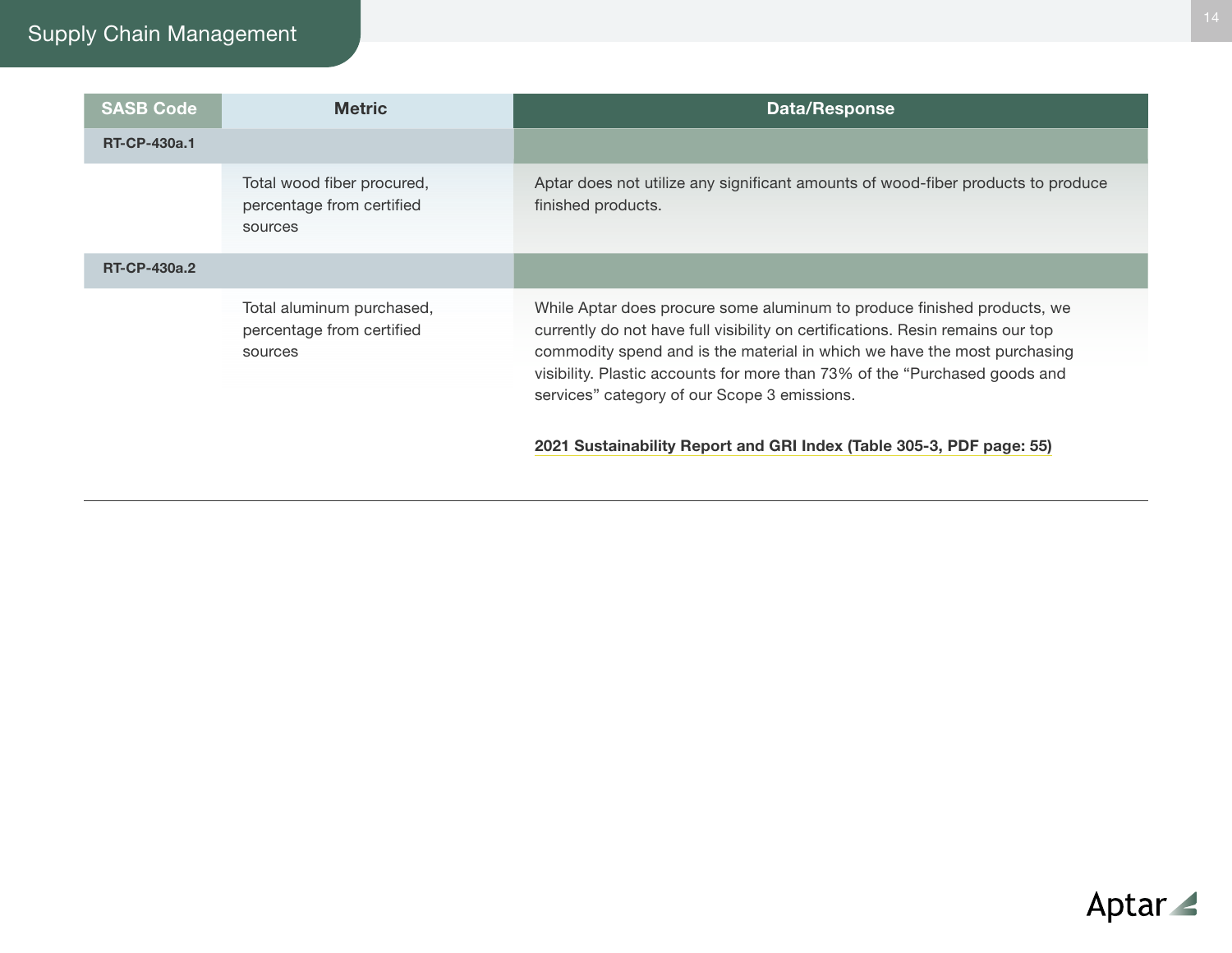# Supply Chain Management

| <b>SASB Code</b>    | <b>Metric</b>                                                      | <b>Data/Response</b>                                                                                                                                                                                                                                                                                                                                                |
|---------------------|--------------------------------------------------------------------|---------------------------------------------------------------------------------------------------------------------------------------------------------------------------------------------------------------------------------------------------------------------------------------------------------------------------------------------------------------------|
| <b>RT-CP-430a.1</b> |                                                                    |                                                                                                                                                                                                                                                                                                                                                                     |
|                     | Total wood fiber procured,<br>percentage from certified<br>sources | Aptar does not utilize any significant amounts of wood-fiber products to produce<br>finished products.                                                                                                                                                                                                                                                              |
| <b>RT-CP-430a.2</b> |                                                                    |                                                                                                                                                                                                                                                                                                                                                                     |
|                     | Total aluminum purchased,<br>percentage from certified<br>sources  | While Aptar does procure some aluminum to produce finished products, we<br>currently do not have full visibility on certifications. Resin remains our top<br>commodity spend and is the material in which we have the most purchasing<br>visibility. Plastic accounts for more than 73% of the "Purchased goods and<br>services" category of our Scope 3 emissions. |
|                     |                                                                    | 2021 Sustainability Report and GRI Index (Table 305-3, PDF page: 55)                                                                                                                                                                                                                                                                                                |